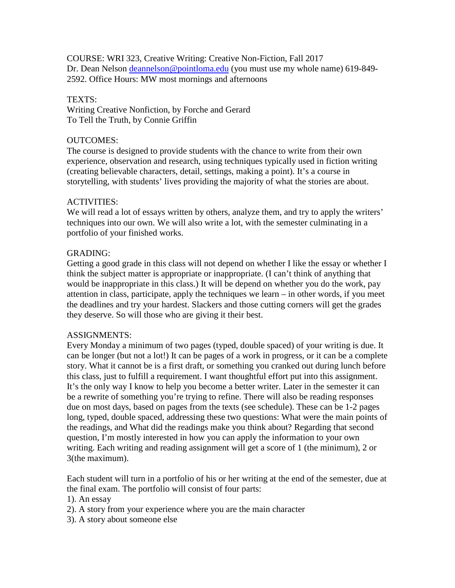COURSE: WRI 323, Creative Writing: Creative Non-Fiction, Fall 2017 Dr. Dean Nelson [deannelson@pointloma.edu](mailto:deannelson@pointloma.edu) (you must use my whole name) 619-849-2592. Office Hours: MW most mornings and afternoons

## TEXTS:

Writing Creative Nonfiction, by Forche and Gerard To Tell the Truth, by Connie Griffin

## OUTCOMES:

The course is designed to provide students with the chance to write from their own experience, observation and research, using techniques typically used in fiction writing (creating believable characters, detail, settings, making a point). It's a course in storytelling, with students' lives providing the majority of what the stories are about.

# ACTIVITIES:

We will read a lot of essays written by others, analyze them, and try to apply the writers' techniques into our own. We will also write a lot, with the semester culminating in a portfolio of your finished works.

### GRADING:

Getting a good grade in this class will not depend on whether I like the essay or whether I think the subject matter is appropriate or inappropriate. (I can't think of anything that would be inappropriate in this class.) It will be depend on whether you do the work, pay attention in class, participate, apply the techniques we learn – in other words, if you meet the deadlines and try your hardest. Slackers and those cutting corners will get the grades they deserve. So will those who are giving it their best.

# ASSIGNMENTS:

Every Monday a minimum of two pages (typed, double spaced) of your writing is due. It can be longer (but not a lot!) It can be pages of a work in progress, or it can be a complete story. What it cannot be is a first draft, or something you cranked out during lunch before this class, just to fulfill a requirement. I want thoughtful effort put into this assignment. It's the only way I know to help you become a better writer. Later in the semester it can be a rewrite of something you're trying to refine. There will also be reading responses due on most days, based on pages from the texts (see schedule). These can be 1-2 pages long, typed, double spaced, addressing these two questions: What were the main points of the readings, and What did the readings make you think about? Regarding that second question, I'm mostly interested in how you can apply the information to your own writing. Each writing and reading assignment will get a score of 1 (the minimum), 2 or 3(the maximum).

Each student will turn in a portfolio of his or her writing at the end of the semester, due at the final exam. The portfolio will consist of four parts:

1). An essay

- 2). A story from your experience where you are the main character
- 3). A story about someone else